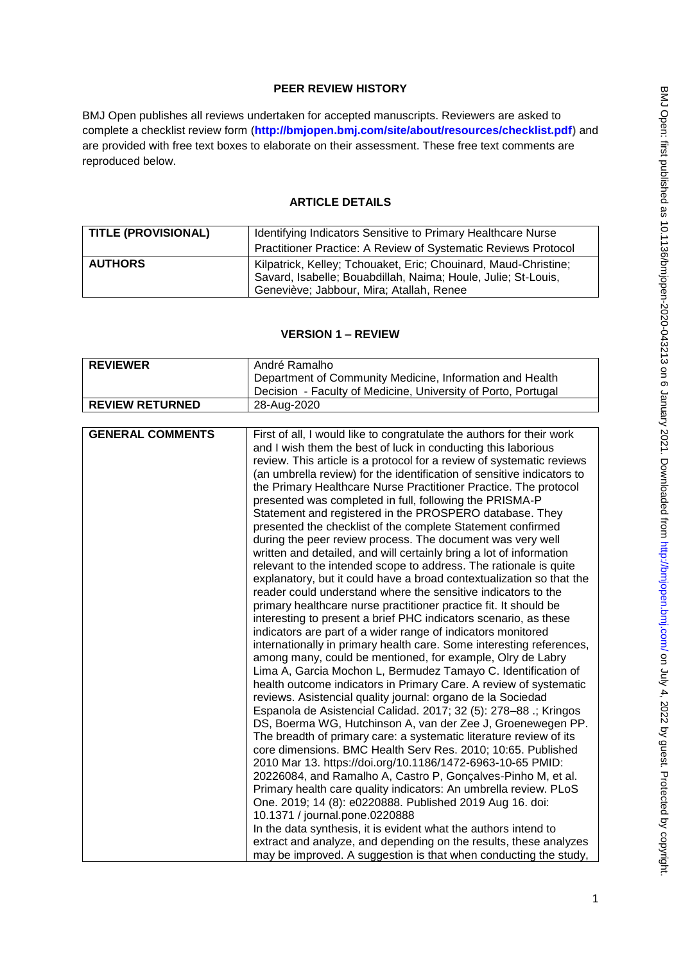## **PEER REVIEW HISTORY**

BMJ Open publishes all reviews undertaken for accepted manuscripts. Reviewers are asked to complete a checklist review form (**[http://bmjopen.bmj.com/site/about/resources/checklist.pdf\)](http://bmjopen.bmj.com/site/about/resources/checklist.pdf)** and are provided with free text boxes to elaborate on their assessment. These free text comments are reproduced below.

### **ARTICLE DETAILS**

| <b>TITLE (PROVISIONAL)</b> | Identifying Indicators Sensitive to Primary Healthcare Nurse<br>Practitioner Practice: A Review of Systematic Reviews Protocol                                               |
|----------------------------|------------------------------------------------------------------------------------------------------------------------------------------------------------------------------|
| <b>AUTHORS</b>             | Kilpatrick, Kelley; Tchouaket, Eric; Chouinard, Maud-Christine;<br>Savard, Isabelle; Bouabdillah, Naima; Houle, Julie; St-Louis,<br>Geneviève; Jabbour, Mira; Atallah, Renee |

### **VERSION 1 – REVIEW**

| <b>REVIEWER</b>         | André Ramalho                                                                                                                                                                                                                                                                                                                                                                                                                                                                                                                                                                                                                                                                                                                                                                                                                                                                                                                                                                                                                                                                                                                                                                                                                                                                                                                                                                                                                                                                                                                                                                                                                                                                                                                                                                                                                                                                                                                                                                                                                                                                                                                                                                                                                                 |  |
|-------------------------|-----------------------------------------------------------------------------------------------------------------------------------------------------------------------------------------------------------------------------------------------------------------------------------------------------------------------------------------------------------------------------------------------------------------------------------------------------------------------------------------------------------------------------------------------------------------------------------------------------------------------------------------------------------------------------------------------------------------------------------------------------------------------------------------------------------------------------------------------------------------------------------------------------------------------------------------------------------------------------------------------------------------------------------------------------------------------------------------------------------------------------------------------------------------------------------------------------------------------------------------------------------------------------------------------------------------------------------------------------------------------------------------------------------------------------------------------------------------------------------------------------------------------------------------------------------------------------------------------------------------------------------------------------------------------------------------------------------------------------------------------------------------------------------------------------------------------------------------------------------------------------------------------------------------------------------------------------------------------------------------------------------------------------------------------------------------------------------------------------------------------------------------------------------------------------------------------------------------------------------------------|--|
|                         | Department of Community Medicine, Information and Health                                                                                                                                                                                                                                                                                                                                                                                                                                                                                                                                                                                                                                                                                                                                                                                                                                                                                                                                                                                                                                                                                                                                                                                                                                                                                                                                                                                                                                                                                                                                                                                                                                                                                                                                                                                                                                                                                                                                                                                                                                                                                                                                                                                      |  |
|                         | Decision - Faculty of Medicine, University of Porto, Portugal                                                                                                                                                                                                                                                                                                                                                                                                                                                                                                                                                                                                                                                                                                                                                                                                                                                                                                                                                                                                                                                                                                                                                                                                                                                                                                                                                                                                                                                                                                                                                                                                                                                                                                                                                                                                                                                                                                                                                                                                                                                                                                                                                                                 |  |
| <b>REVIEW RETURNED</b>  | 28-Aug-2020                                                                                                                                                                                                                                                                                                                                                                                                                                                                                                                                                                                                                                                                                                                                                                                                                                                                                                                                                                                                                                                                                                                                                                                                                                                                                                                                                                                                                                                                                                                                                                                                                                                                                                                                                                                                                                                                                                                                                                                                                                                                                                                                                                                                                                   |  |
|                         |                                                                                                                                                                                                                                                                                                                                                                                                                                                                                                                                                                                                                                                                                                                                                                                                                                                                                                                                                                                                                                                                                                                                                                                                                                                                                                                                                                                                                                                                                                                                                                                                                                                                                                                                                                                                                                                                                                                                                                                                                                                                                                                                                                                                                                               |  |
| <b>GENERAL COMMENTS</b> | First of all, I would like to congratulate the authors for their work<br>and I wish them the best of luck in conducting this laborious<br>review. This article is a protocol for a review of systematic reviews<br>(an umbrella review) for the identification of sensitive indicators to<br>the Primary Healthcare Nurse Practitioner Practice. The protocol<br>presented was completed in full, following the PRISMA-P<br>Statement and registered in the PROSPERO database. They<br>presented the checklist of the complete Statement confirmed<br>during the peer review process. The document was very well<br>written and detailed, and will certainly bring a lot of information<br>relevant to the intended scope to address. The rationale is quite<br>explanatory, but it could have a broad contextualization so that the<br>reader could understand where the sensitive indicators to the<br>primary healthcare nurse practitioner practice fit. It should be<br>interesting to present a brief PHC indicators scenario, as these<br>indicators are part of a wider range of indicators monitored<br>internationally in primary health care. Some interesting references,<br>among many, could be mentioned, for example, Olry de Labry<br>Lima A, Garcia Mochon L, Bermudez Tamayo C. Identification of<br>health outcome indicators in Primary Care. A review of systematic<br>reviews. Asistencial quality journal: organo de la Sociedad<br>Espanola de Asistencial Calidad. 2017; 32 (5): 278-88 .; Kringos<br>DS, Boerma WG, Hutchinson A, van der Zee J, Groenewegen PP.<br>The breadth of primary care: a systematic literature review of its<br>core dimensions. BMC Health Serv Res. 2010; 10:65. Published<br>2010 Mar 13. https://doi.org/10.1186/1472-6963-10-65 PMID:<br>20226084, and Ramalho A, Castro P, Gonçalves-Pinho M, et al.<br>Primary health care quality indicators: An umbrella review. PLoS<br>One. 2019; 14 (8): e0220888. Published 2019 Aug 16. doi:<br>10.1371 / journal.pone.0220888<br>In the data synthesis, it is evident what the authors intend to<br>extract and analyze, and depending on the results, these analyzes<br>may be improved. A suggestion is that when conducting the study, |  |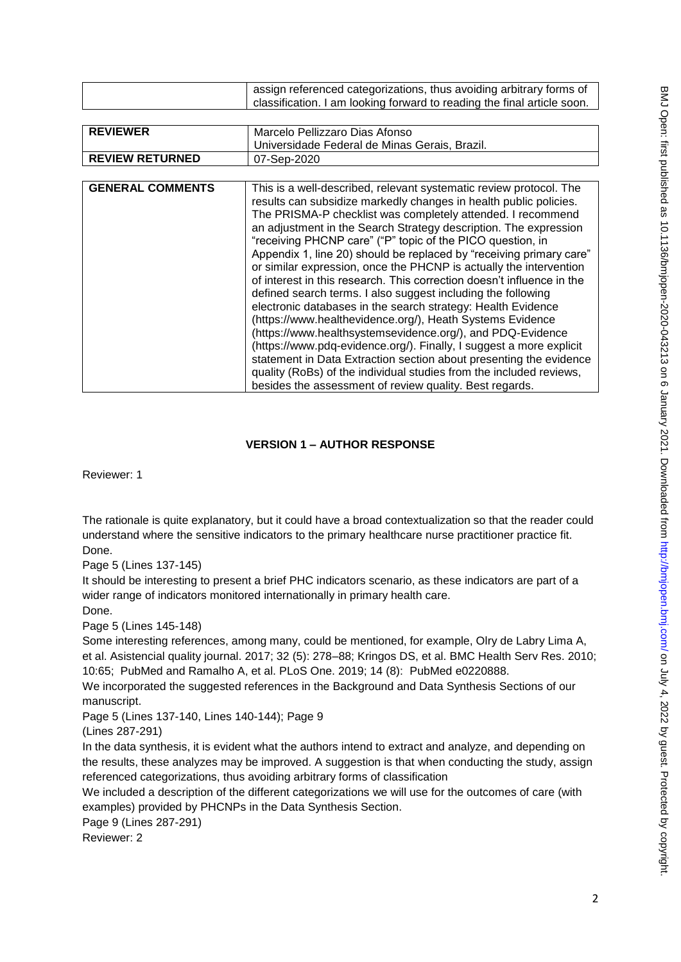|                         | assign referenced categorizations, thus avoiding arbitrary forms of                                                                                                                                                                                                                                                                                                                                                                                                                                                                                                                                                                                                                                                                                                                                                                                                                                                                                                                                                                                                                                       |  |
|-------------------------|-----------------------------------------------------------------------------------------------------------------------------------------------------------------------------------------------------------------------------------------------------------------------------------------------------------------------------------------------------------------------------------------------------------------------------------------------------------------------------------------------------------------------------------------------------------------------------------------------------------------------------------------------------------------------------------------------------------------------------------------------------------------------------------------------------------------------------------------------------------------------------------------------------------------------------------------------------------------------------------------------------------------------------------------------------------------------------------------------------------|--|
|                         | classification. I am looking forward to reading the final article soon.                                                                                                                                                                                                                                                                                                                                                                                                                                                                                                                                                                                                                                                                                                                                                                                                                                                                                                                                                                                                                                   |  |
|                         |                                                                                                                                                                                                                                                                                                                                                                                                                                                                                                                                                                                                                                                                                                                                                                                                                                                                                                                                                                                                                                                                                                           |  |
| <b>REVIEWER</b>         | Marcelo Pellizzaro Dias Afonso                                                                                                                                                                                                                                                                                                                                                                                                                                                                                                                                                                                                                                                                                                                                                                                                                                                                                                                                                                                                                                                                            |  |
|                         | Universidade Federal de Minas Gerais, Brazil.                                                                                                                                                                                                                                                                                                                                                                                                                                                                                                                                                                                                                                                                                                                                                                                                                                                                                                                                                                                                                                                             |  |
| <b>REVIEW RETURNED</b>  | 07-Sep-2020                                                                                                                                                                                                                                                                                                                                                                                                                                                                                                                                                                                                                                                                                                                                                                                                                                                                                                                                                                                                                                                                                               |  |
|                         |                                                                                                                                                                                                                                                                                                                                                                                                                                                                                                                                                                                                                                                                                                                                                                                                                                                                                                                                                                                                                                                                                                           |  |
| <b>GENERAL COMMENTS</b> | This is a well-described, relevant systematic review protocol. The<br>results can subsidize markedly changes in health public policies.<br>The PRISMA-P checklist was completely attended. I recommend<br>an adjustment in the Search Strategy description. The expression<br>"receiving PHCNP care" ("P" topic of the PICO question, in<br>Appendix 1, line 20) should be replaced by "receiving primary care"<br>or similar expression, once the PHCNP is actually the intervention<br>of interest in this research. This correction doesn't influence in the<br>defined search terms. I also suggest including the following<br>electronic databases in the search strategy: Health Evidence<br>(https://www.healthevidence.org/), Heath Systems Evidence<br>(https://www.healthsystemsevidence.org/), and PDQ-Evidence<br>(https://www.pdq-evidence.org/). Finally, I suggest a more explicit<br>statement in Data Extraction section about presenting the evidence<br>quality (RoBs) of the individual studies from the included reviews,<br>besides the assessment of review quality. Best regards. |  |

# **VERSION 1 – AUTHOR RESPONSE**

Reviewer: 1

The rationale is quite explanatory, but it could have a broad contextualization so that the reader could understand where the sensitive indicators to the primary healthcare nurse practitioner practice fit. Done.

Page 5 (Lines 137-145)

It should be interesting to present a brief PHC indicators scenario, as these indicators are part of a wider range of indicators monitored internationally in primary health care.

Done.

Page 5 (Lines 145-148)

Some interesting references, among many, could be mentioned, for example, Olry de Labry Lima A, et al. Asistencial quality journal. 2017; 32 (5): 278–88; Kringos DS, et al. BMC Health Serv Res. 2010; 10:65; [PubMed](http://www.ncbi.nlm.nih.gov/entrez/query.fcgi?db=PubMed&cmd=Search&term=BMC%20Health%20Serv%20Res%5bJournal%5d%20AND%2010%5bVolume%5d%20AND%2065%5bPage%5d&doptcmdl=DocSum) and Ramalho A, et al. PLoS One. 2019; 14 (8): [PubMed](http://www.ncbi.nlm.nih.gov/entrez/query.fcgi?db=PubMed&cmd=Search&term=PLoS%20One%5bJournal%5d%20AND%2014%5bVolume%5d%20AND%208%5bPage%5d&doptcmdl=DocSum) e0220888.

We incorporated the suggested references in the Background and Data Synthesis Sections of our manuscript.

Page 5 (Lines 137-140, Lines 140-144); Page 9

(Lines 287-291)

In the data synthesis, it is evident what the authors intend to extract and analyze, and depending on the results, these analyzes may be improved. A suggestion is that when conducting the study, assign referenced categorizations, thus avoiding arbitrary forms of classification

We included a description of the different categorizations we will use for the outcomes of care (with examples) provided by PHCNPs in the Data Synthesis Section.

Page 9 (Lines 287-291)

Reviewer: 2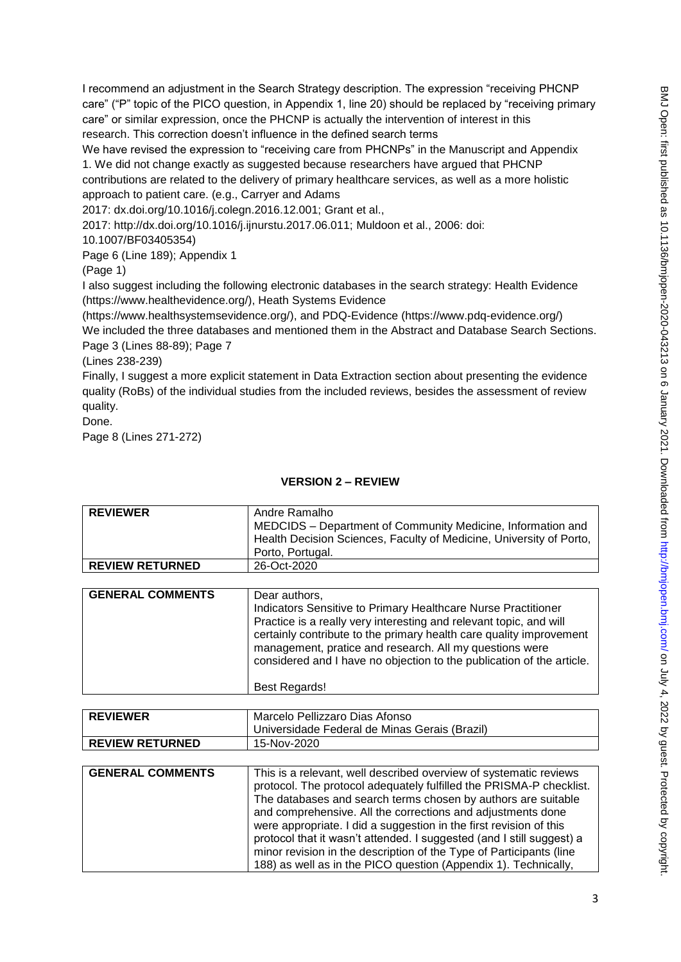I recommend an adjustment in the Search Strategy description. The expression "receiving PHCNP care" ("P" topic of the PICO question, in Appendix 1, line 20) should be replaced by "receiving primary care" or similar expression, once the PHCNP is actually the intervention of interest in this research. This correction doesn't influence in the defined search terms

We have revised the expression to "receiving care from PHCNPs" in the Manuscript and Appendix 1. We did not change exactly as suggested because researchers have argued that PHCNP contributions are related to the delivery of primary healthcare services, as well as a more holistic approach to patient care. (e.g., Carryer and Adams

2017: dx.doi.org/10.1016/j.colegn.2016.12.001; Grant et al.,

2017: http://dx.doi.org/10.1016/j.ijnurstu.2017.06.011; Muldoon et al., 2006: doi:

10.1007/BF03405354)

Page 6 (Line 189); Appendix 1

(Page 1)

I also suggest including the following electronic databases in the search strategy: Health Evidence [\(https://www.healthevidence.org/\)](https://www.healthevidence.org/), Heath Systems Evidence

[\(https://www.healthsystemsevidence.org/\)](https://www.healthsystemsevidence.org/), and PDQ-Evidence [\(https://www.pdq-evidence.org/\)](https://www.pdq-evidence.org/) We included the three databases and mentioned them in the Abstract and Database Search Sections.

Page 3 (Lines 88-89); Page 7

(Lines 238-239)

Finally, I suggest a more explicit statement in Data Extraction section about presenting the evidence quality (RoBs) of the individual studies from the included reviews, besides the assessment of review quality.

Done.

Page 8 (Lines 271-272)

## **VERSION 2 – REVIEW**

| <b>REVIEWER</b>         | Andre Ramalho<br>MEDCIDS - Department of Community Medicine, Information and                                                                                                                                                                                                                                                                                    |
|-------------------------|-----------------------------------------------------------------------------------------------------------------------------------------------------------------------------------------------------------------------------------------------------------------------------------------------------------------------------------------------------------------|
|                         | Health Decision Sciences, Faculty of Medicine, University of Porto,<br>Porto, Portugal.                                                                                                                                                                                                                                                                         |
| <b>REVIEW RETURNED</b>  | 26-Oct-2020                                                                                                                                                                                                                                                                                                                                                     |
|                         |                                                                                                                                                                                                                                                                                                                                                                 |
| <b>GENERAL COMMENTS</b> | Dear authors.<br>Indicators Sensitive to Primary Healthcare Nurse Practitioner<br>Practice is a really very interesting and relevant topic, and will<br>certainly contribute to the primary health care quality improvement<br>management, pratice and research. All my questions were<br>considered and I have no objection to the publication of the article. |
|                         | <b>Best Regards!</b>                                                                                                                                                                                                                                                                                                                                            |

| <b>REVIEWER</b>        | Marcelo Pellizzaro Dias Afonso                |  |
|------------------------|-----------------------------------------------|--|
|                        | Universidade Federal de Minas Gerais (Brazil) |  |
| <b>REVIEW RETURNED</b> | 15-Nov-2020                                   |  |
|                        |                                               |  |

| <b>GENERAL COMMENTS</b> | This is a relevant, well described overview of systematic reviews<br>protocol. The protocol adequately fulfilled the PRISMA-P checklist.<br>The databases and search terms chosen by authors are suitable<br>and comprehensive. All the corrections and adjustments done<br>were appropriate. I did a suggestion in the first revision of this<br>protocol that it wasn't attended. I suggested (and I still suggest) a<br>minor revision in the description of the Type of Participants (line |
|-------------------------|------------------------------------------------------------------------------------------------------------------------------------------------------------------------------------------------------------------------------------------------------------------------------------------------------------------------------------------------------------------------------------------------------------------------------------------------------------------------------------------------|
|                         | 188) as well as in the PICO question (Appendix 1). Technically,                                                                                                                                                                                                                                                                                                                                                                                                                                |